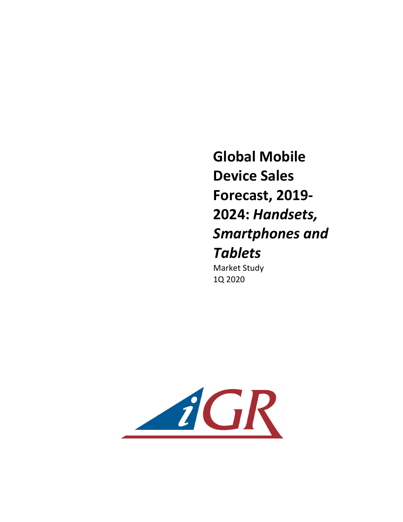**Global Mobile Device Sales Forecast, 2019- 2024:** *Handsets, Smartphones and Tablets* **Market Study** 1Q 2020

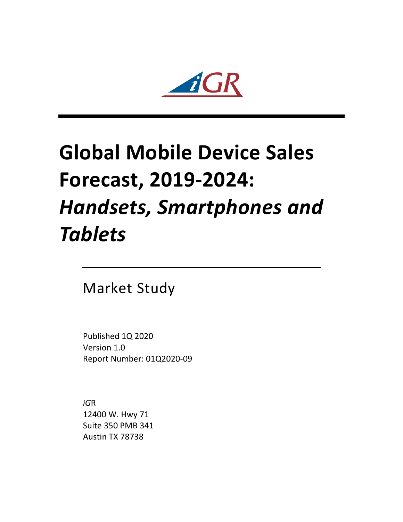

## **Global Mobile Device Sales Forecast, 2019-2024:**  *Handsets, Smartphones and Tablets*

**Market Study** 

Published 1Q 2020 Version 1.0 Report Number: 01Q2020-09

*iG*R 12400 W. Hwy 71 Suite 350 PMB 341 Austin TX 78738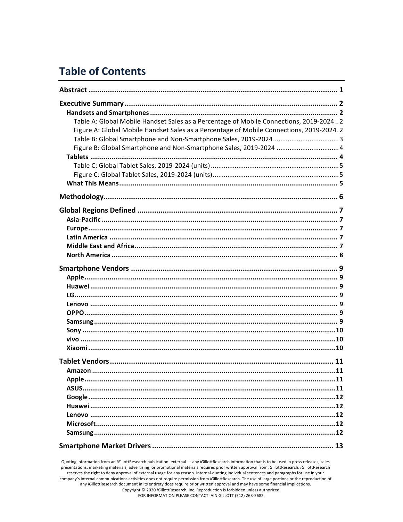## **Table of Contents**

| Table A: Global Mobile Handset Sales as a Percentage of Mobile Connections, 2019-20242<br>Figure A: Global Mobile Handset Sales as a Percentage of Mobile Connections, 2019-2024.2 |  |
|------------------------------------------------------------------------------------------------------------------------------------------------------------------------------------|--|
|                                                                                                                                                                                    |  |
|                                                                                                                                                                                    |  |
|                                                                                                                                                                                    |  |
| Apple.                                                                                                                                                                             |  |
|                                                                                                                                                                                    |  |

Quoting information from an iGillottResearch publication: external - any iGillottResearch information that is to be used in press releases, sales presentations, marketing materials, advertising, or promotional materials requires prior written approval from *iGillottResearch*. *iGillottResearch* reserves the right to deny approval of external usage for any reason. Internal-quoting individual sentences and paragraphs for use in your company's internal communications activities does not require permission from iGillottResearch. The use of large portions or the reproduction of any iGillottResearch document in its entirety does require prior written approval and may have some financial implications. Copyright © 2020 iGillottResearch, Inc. Reproduction is forbidden unless authorized. FOR INFORMATION PLEASE CONTACT IAIN GILLOTT (512) 263-5682.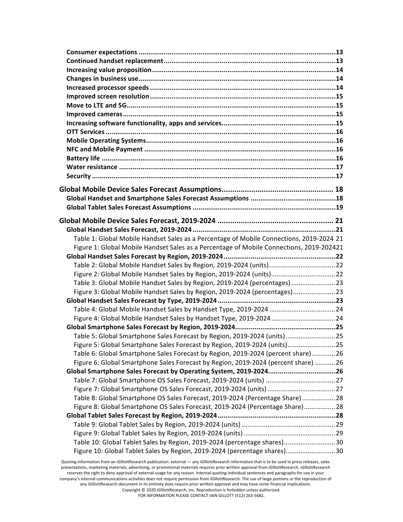| Table 1: Global Mobile Handset Sales as a Percentage of Mobile Connections, 2019-2024 21 |  |
|------------------------------------------------------------------------------------------|--|
| Figure 1: Global Mobile Handset Sales as a Percentage of Mobile Connections, 2019-202421 |  |
| Table 2: Global Mobile Handset Sales by Region, 2019-2024 (units)22                      |  |
| Figure 2: Global Mobile Handset Sales by Region, 2019-2024 (units) 22                    |  |
| Table 3: Global Mobile Handset Sales by Region, 2019-2024 (percentages)  23              |  |
| Figure 3: Global Mobile Handset Sales by Region, 2019-2024 (percentages)23               |  |
|                                                                                          |  |
|                                                                                          |  |
|                                                                                          |  |
|                                                                                          |  |
| Table 5: Global Smartphone Sales Forecast by Region, 2019-2024 (units)25                 |  |
| Figure 5: Global Smartphone Sales Forecast by Region, 2019-2024 (units)25                |  |
| Table 6: Global Smartphone Sales Forecast by Region, 2019-2024 (percent share)26         |  |
| Figure 6: Global Smartphone Sales Forecast by Region, 2019-2024 (percent share) 26       |  |
| Global Smartphone Sales Forecast by Operating System, 2019-202426                        |  |
|                                                                                          |  |
| Figure 7: Global Smartphone OS Sales Forecast, 2019-2024 (units)  27                     |  |
| Table 8: Global Smartphone OS Sales Forecast, 2019-2024 (Percentage Share)28             |  |
| Figure 8: Global Smartphone OS Sales Forecast, 2019-2024 (Percentage Share)28            |  |
|                                                                                          |  |
|                                                                                          |  |
|                                                                                          |  |
| Table 10: Global Tablet Sales by Region, 2019-2024 (percentage shares)30                 |  |
| Figure 10: Global Tablet Sales by Region, 2019-2024 (percentage shares)30                |  |
|                                                                                          |  |

Quoting information from an *iGillottResearch publication: external — any <i>iGillottResearch* information that is to be used in press releases, sales presentations, marketing materials, advertising, or promotional materials requires prior written approval from *iG*illottResearch. *iGillottResearch* reserves the right to deny approval of external usage for any reason. Internal-quoting individual sentences and paragraphs for use in your company's internal communications activities does not require permission from *iG*illottResearch. The use of large portions or the reproduction of any iGillottResearch document in its entirety does require prior written approval and may have some financial implications. Copyright © 2020 *iGillottResearch, Inc. Reproduction* is forbidden unless authorized.

FOR INFORMATION PLEASE CONTACT IAIN GILLOTT (512) 263-5682.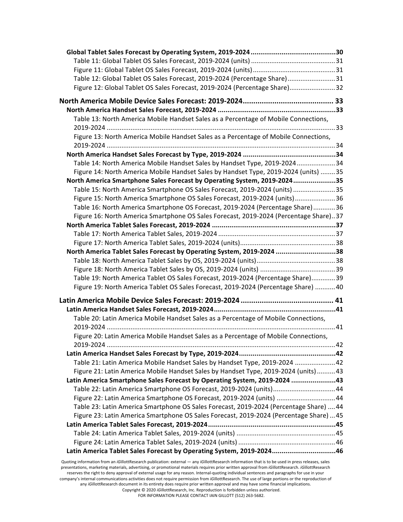| Table 12: Global Tablet OS Sales Forecast, 2019-2024 (Percentage Share)31                                                                                                                                                                                                                              |  |
|--------------------------------------------------------------------------------------------------------------------------------------------------------------------------------------------------------------------------------------------------------------------------------------------------------|--|
| Figure 12: Global Tablet OS Sales Forecast, 2019-2024 (Percentage Share)32                                                                                                                                                                                                                             |  |
|                                                                                                                                                                                                                                                                                                        |  |
|                                                                                                                                                                                                                                                                                                        |  |
| Table 13: North America Mobile Handset Sales as a Percentage of Mobile Connections,                                                                                                                                                                                                                    |  |
|                                                                                                                                                                                                                                                                                                        |  |
| Figure 13: North America Mobile Handset Sales as a Percentage of Mobile Connections,                                                                                                                                                                                                                   |  |
|                                                                                                                                                                                                                                                                                                        |  |
|                                                                                                                                                                                                                                                                                                        |  |
| Table 14: North America Mobile Handset Sales by Handset Type, 2019-202434                                                                                                                                                                                                                              |  |
| Figure 14: North America Mobile Handset Sales by Handset Type, 2019-2024 (units) 35                                                                                                                                                                                                                    |  |
| North America Smartphone Sales Forecast by Operating System, 2019-202435                                                                                                                                                                                                                               |  |
| Table 15: North America Smartphone OS Sales Forecast, 2019-2024 (units) 35                                                                                                                                                                                                                             |  |
| Figure 15: North America Smartphone OS Sales Forecast, 2019-2024 (units)36                                                                                                                                                                                                                             |  |
| Table 16: North America Smartphone OS Forecast, 2019-2024 (Percentage Share)36                                                                                                                                                                                                                         |  |
| Figure 16: North America Smartphone OS Sales Forecast, 2019-2024 (Percentage Share)37                                                                                                                                                                                                                  |  |
|                                                                                                                                                                                                                                                                                                        |  |
|                                                                                                                                                                                                                                                                                                        |  |
|                                                                                                                                                                                                                                                                                                        |  |
| North America Tablet Sales Forecast by Operating System, 2019-2024 38                                                                                                                                                                                                                                  |  |
|                                                                                                                                                                                                                                                                                                        |  |
|                                                                                                                                                                                                                                                                                                        |  |
| Table 19: North America Tablet OS Sales Forecast, 2019-2024 (Percentage Share)39<br>Figure 19: North America Tablet OS Sales Forecast, 2019-2024 (Percentage Share) 40                                                                                                                                 |  |
|                                                                                                                                                                                                                                                                                                        |  |
|                                                                                                                                                                                                                                                                                                        |  |
|                                                                                                                                                                                                                                                                                                        |  |
| Table 20: Latin America Mobile Handset Sales as a Percentage of Mobile Connections,                                                                                                                                                                                                                    |  |
|                                                                                                                                                                                                                                                                                                        |  |
| Figure 20: Latin America Mobile Handset Sales as a Percentage of Mobile Connections,                                                                                                                                                                                                                   |  |
|                                                                                                                                                                                                                                                                                                        |  |
|                                                                                                                                                                                                                                                                                                        |  |
| Table 21: Latin America Mobile Handset Sales by Handset Type, 2019-2024 42                                                                                                                                                                                                                             |  |
| Figure 21: Latin America Mobile Handset Sales by Handset Type, 2019-2024 (units)43                                                                                                                                                                                                                     |  |
| Latin America Smartphone Sales Forecast by Operating System, 2019-2024 43                                                                                                                                                                                                                              |  |
| Table 22: Latin America Smartphone OS Forecast, 2019-2024 (units)44                                                                                                                                                                                                                                    |  |
| Figure 22: Latin America Smartphone OS Forecast, 2019-2024 (units) 44                                                                                                                                                                                                                                  |  |
| Table 23: Latin America Smartphone OS Sales Forecast, 2019-2024 (Percentage Share)  44                                                                                                                                                                                                                 |  |
| Figure 23: Latin America Smartphone OS Sales Forecast, 2019-2024 (Percentage Share)  45                                                                                                                                                                                                                |  |
|                                                                                                                                                                                                                                                                                                        |  |
|                                                                                                                                                                                                                                                                                                        |  |
| Latin America Tablet Sales Forecast by Operating System, 2019-202446                                                                                                                                                                                                                                   |  |
|                                                                                                                                                                                                                                                                                                        |  |
| Quoting information from an iGillottResearch publication: external - any iGillottResearch information that is to be used in press releases, sales<br>presentations, marketing materials, advertising, or promotional materials requires prior written approval from iGillottResearch. iGillottResearch |  |

reserves the right to deny approval of external usage for any reason. Internal-quoting individual sentences and paragraphs for use in your company's internal communications activities does not require permission from *iGillottResearch*. The use of large portions or the reproduction of any iGillottResearch document in its entirety does require prior written approval and may have some financial implications. Copyright © 2020 *iGillottResearch, Inc. Reproduction* is forbidden unless authorized. FOR INFORMATION PLEASE CONTACT IAIN GILLOTT (512) 263-5682.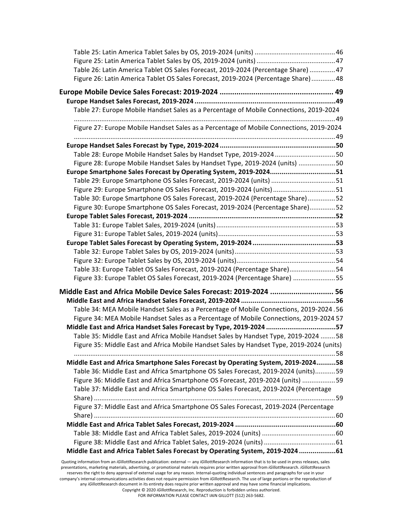| Table 26: Latin America Tablet OS Sales Forecast, 2019-2024 (Percentage Share)  47                                                                |  |
|---------------------------------------------------------------------------------------------------------------------------------------------------|--|
| Figure 26: Latin America Tablet OS Sales Forecast, 2019-2024 (Percentage Share)48                                                                 |  |
|                                                                                                                                                   |  |
|                                                                                                                                                   |  |
| Table 27: Europe Mobile Handset Sales as a Percentage of Mobile Connections, 2019-2024                                                            |  |
| Figure 27: Europe Mobile Handset Sales as a Percentage of Mobile Connections, 2019-2024                                                           |  |
|                                                                                                                                                   |  |
| Table 28: Europe Mobile Handset Sales by Handset Type, 2019-2024 50                                                                               |  |
| Figure 28: Europe Mobile Handset Sales by Handset Type, 2019-2024 (units) 50                                                                      |  |
| Europe Smartphone Sales Forecast by Operating System, 2019-202451                                                                                 |  |
| Table 29: Europe Smartphone OS Sales Forecast, 2019-2024 (units) 51                                                                               |  |
| Figure 29: Europe Smartphone OS Sales Forecast, 2019-2024 (units) 51                                                                              |  |
| Table 30: Europe Smartphone OS Sales Forecast, 2019-2024 (Percentage Share)52                                                                     |  |
| Figure 30: Europe Smartphone OS Sales Forecast, 2019-2024 (Percentage Share)52                                                                    |  |
|                                                                                                                                                   |  |
|                                                                                                                                                   |  |
|                                                                                                                                                   |  |
|                                                                                                                                                   |  |
|                                                                                                                                                   |  |
|                                                                                                                                                   |  |
| Table 33: Europe Tablet OS Sales Forecast, 2019-2024 (Percentage Share)54                                                                         |  |
| Figure 33: Europe Tablet OS Sales Forecast, 2019-2024 (Percentage Share) 55                                                                       |  |
| Middle East and Africa Mobile Device Sales Forecast: 2019-2024  56                                                                                |  |
|                                                                                                                                                   |  |
| Table 34: MEA Mobile Handset Sales as a Percentage of Mobile Connections, 2019-2024.56                                                            |  |
| Figure 34: MEA Mobile Handset Sales as a Percentage of Mobile Connections, 2019-2024 57                                                           |  |
| Middle East and Africa Handset Sales Forecast by Type, 2019-2024 57                                                                               |  |
| Table 35: Middle East and Africa Mobile Handset Sales by Handset Type, 2019-2024 58                                                               |  |
| Figure 35: Middle East and Africa Mobile Handset Sales by Handset Type, 2019-2024 (units)                                                         |  |
| Middle East and Africa Smartphone Sales Forecast by Operating System, 2019-202458                                                                 |  |
|                                                                                                                                                   |  |
| Table 36: Middle East and Africa Smartphone OS Sales Forecast, 2019-2024 (units)59                                                                |  |
| Figure 36: Middle East and Africa Smartphone OS Forecast, 2019-2024 (units) 59                                                                    |  |
| Table 37: Middle East and Africa Smartphone OS Sales Forecast, 2019-2024 (Percentage                                                              |  |
| Figure 37: Middle East and Africa Smartphone OS Sales Forecast, 2019-2024 (Percentage                                                             |  |
|                                                                                                                                                   |  |
|                                                                                                                                                   |  |
|                                                                                                                                                   |  |
|                                                                                                                                                   |  |
| Middle East and Africa Tablet Sales Forecast by Operating System, 2019-202461                                                                     |  |
| Quoting information from an iGillottResearch publication: external - any iGillottResearch information that is to be used in press releases, sales |  |
|                                                                                                                                                   |  |

presentations, marketing materials, advertising, or promotional materials requires prior written approval from *iGillottResearch. iGillottResearch* reserves the right to deny approval of external usage for any reason. Internal-quoting individual sentences and paragraphs for use in your company's internal communications activities does not require permission from *iGillottResearch*. The use of large portions or the reproduction of any iGillottResearch document in its entirety does require prior written approval and may have some financial implications. Copyright © 2020 *iGillottResearch, Inc. Reproduction* is forbidden unless authorized.

FOR INFORMATION PLEASE CONTACT IAIN GILLOTT (512) 263-5682.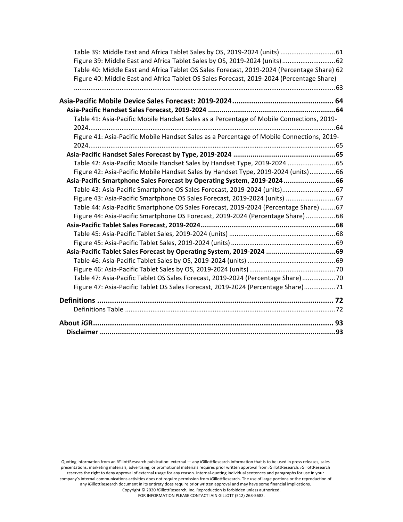| Table 39: Middle East and Africa Tablet Sales by OS, 2019-2024 (units)  61                 |  |
|--------------------------------------------------------------------------------------------|--|
| Figure 39: Middle East and Africa Tablet Sales by OS, 2019-2024 (units) 62                 |  |
| Table 40: Middle East and Africa Tablet OS Sales Forecast, 2019-2024 (Percentage Share) 62 |  |
| Figure 40: Middle East and Africa Tablet OS Sales Forecast, 2019-2024 (Percentage Share)   |  |
|                                                                                            |  |
|                                                                                            |  |
|                                                                                            |  |
| Table 41: Asia-Pacific Mobile Handset Sales as a Percentage of Mobile Connections, 2019-   |  |
|                                                                                            |  |
| Figure 41: Asia-Pacific Mobile Handset Sales as a Percentage of Mobile Connections, 2019-  |  |
|                                                                                            |  |
|                                                                                            |  |
| Table 42: Asia-Pacific Mobile Handset Sales by Handset Type, 2019-2024 65                  |  |
| Figure 42: Asia-Pacific Mobile Handset Sales by Handset Type, 2019-2024 (units)66          |  |
| Asia-Pacific Smartphone Sales Forecast by Operating System, 2019-202466                    |  |
| Table 43: Asia-Pacific Smartphone OS Sales Forecast, 2019-2024 (units) 67                  |  |
| Figure 43: Asia-Pacific Smartphone OS Sales Forecast, 2019-2024 (units)  67                |  |
| Table 44: Asia-Pacific Smartphone OS Sales Forecast, 2019-2024 (Percentage Share)  67      |  |
| Figure 44: Asia-Pacific Smartphone OS Forecast, 2019-2024 (Percentage Share) 68            |  |
|                                                                                            |  |
|                                                                                            |  |
|                                                                                            |  |
| Asia-Pacific Tablet Sales Forecast by Operating System, 2019-2024 69                       |  |
|                                                                                            |  |
|                                                                                            |  |
| Table 47: Asia-Pacific Tablet OS Sales Forecast, 2019-2024 (Percentage Share)  70          |  |
| Figure 47: Asia-Pacific Tablet OS Sales Forecast, 2019-2024 (Percentage Share)71           |  |
|                                                                                            |  |
|                                                                                            |  |
|                                                                                            |  |
|                                                                                            |  |